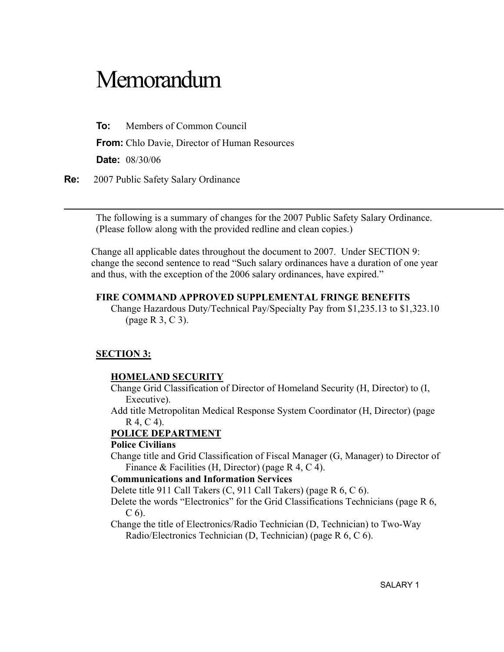# Memorandum

To: Members of Common Council

From: Chlo Davie, Director of Human Resources

Date: 08/30/06

Re: 2007 Public Safety Salary Ordinance

The following is a summary of changes for the 2007 Public Safety Salary Ordinance. (Please follow along with the provided redline and clean copies.)

Change all applicable dates throughout the document to 2007. Under SECTION 9: change the second sentence to read "Such salary ordinances have a duration of one year and thus, with the exception of the 2006 salary ordinances, have expired."

#### FIRE COMMAND APPROVED SUPPLEMENTAL FRINGE BENEFITS

Change Hazardous Duty/Technical Pay/Specialty Pay from \$1,235.13 to \$1,323.10 (page R 3, C 3).

#### SECTION 3:

#### HOMELAND SECURITY

Change Grid Classification of Director of Homeland Security (H, Director) to (I, Executive).

Add title Metropolitan Medical Response System Coordinator (H, Director) (page R 4, C 4).

#### POLICE DEPARTMENT

#### Police Civilians

Change title and Grid Classification of Fiscal Manager (G, Manager) to Director of Finance & Facilities (H, Director) (page R 4, C 4).

#### Communications and Information Services

Delete title 911 Call Takers (C, 911 Call Takers) (page R 6, C 6).

Delete the words "Electronics" for the Grid Classifications Technicians (page R 6, C 6).

Change the title of Electronics/Radio Technician (D, Technician) to Two-Way Radio/Electronics Technician (D, Technician) (page R 6, C 6).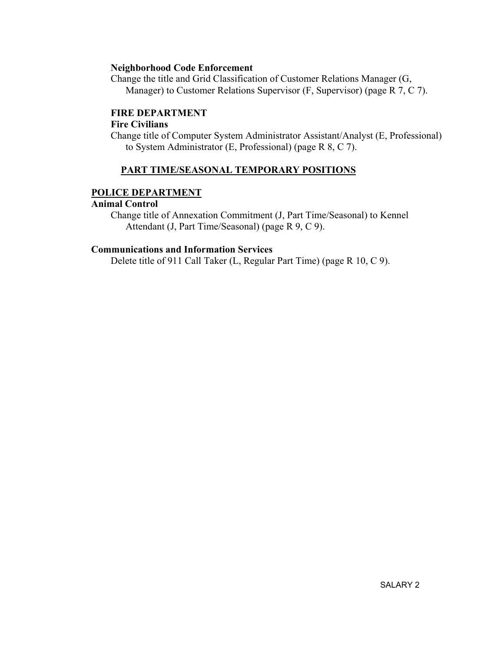#### Neighborhood Code Enforcement

Change the title and Grid Classification of Customer Relations Manager (G, Manager) to Customer Relations Supervisor (F, Supervisor) (page R 7, C 7).

#### FIRE DEPARTMENT

#### Fire Civilians

Change title of Computer System Administrator Assistant/Analyst (E, Professional) to System Administrator (E, Professional) (page R 8, C 7).

#### PART TIME/SEASONAL TEMPORARY POSITIONS

#### POLICE DEPARTMENT

#### Animal Control

Change title of Annexation Commitment (J, Part Time/Seasonal) to Kennel Attendant (J, Part Time/Seasonal) (page R 9, C 9).

#### Communications and Information Services

Delete title of 911 Call Taker (L, Regular Part Time) (page R 10, C 9).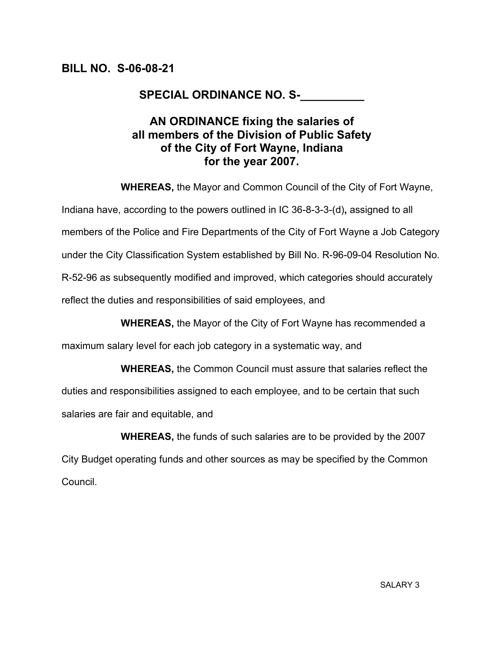# SPECIAL ORDINANCE NO. S-\_\_\_\_\_\_\_\_\_

# AN ORDINANCE fixing the salaries of all members of the Division of Public Safety of the City of Fort Wayne, Indiana for the year 2007.

WHEREAS, the Mayor and Common Council of the City of Fort Wayne,

Indiana have, according to the powers outlined in IC 36-8-3-3-(d), assigned to all members of the Police and Fire Departments of the City of Fort Wayne a Job Category under the City Classification System established by Bill No. R-96-09-04 Resolution No. R-52-96 as subsequently modified and improved, which categories should accurately reflect the duties and responsibilities of said employees, and

WHEREAS, the Mayor of the City of Fort Wayne has recommended a

maximum salary level for each job category in a systematic way, and

 WHEREAS, the Common Council must assure that salaries reflect the duties and responsibilities assigned to each employee, and to be certain that such salaries are fair and equitable, and

 WHEREAS, the funds of such salaries are to be provided by the 2007 City Budget operating funds and other sources as may be specified by the Common Council.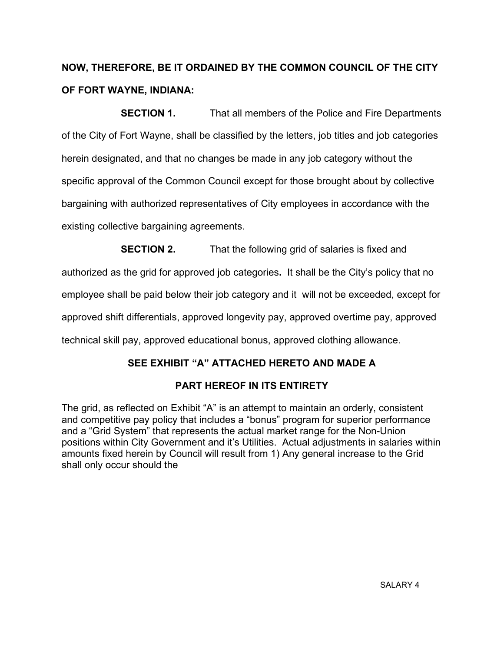# NOW, THEREFORE, BE IT ORDAINED BY THE COMMON COUNCIL OF THE CITY OF FORT WAYNE, INDIANA:

**SECTION 1.** That all members of the Police and Fire Departments of the City of Fort Wayne, shall be classified by the letters, job titles and job categories herein designated, and that no changes be made in any job category without the specific approval of the Common Council except for those brought about by collective bargaining with authorized representatives of City employees in accordance with the existing collective bargaining agreements.

**SECTION 2.** That the following grid of salaries is fixed and authorized as the grid for approved job categories. It shall be the City's policy that no employee shall be paid below their job category and it will not be exceeded, except for approved shift differentials, approved longevity pay, approved overtime pay, approved technical skill pay, approved educational bonus, approved clothing allowance.

## SEE EXHIBIT "A" ATTACHED HERETO AND MADE A

## PART HEREOF IN ITS ENTIRETY

The grid, as reflected on Exhibit "A" is an attempt to maintain an orderly, consistent and competitive pay policy that includes a "bonus" program for superior performance and a "Grid System" that represents the actual market range for the Non-Union positions within City Government and it's Utilities. Actual adjustments in salaries within amounts fixed herein by Council will result from 1) Any general increase to the Grid shall only occur should the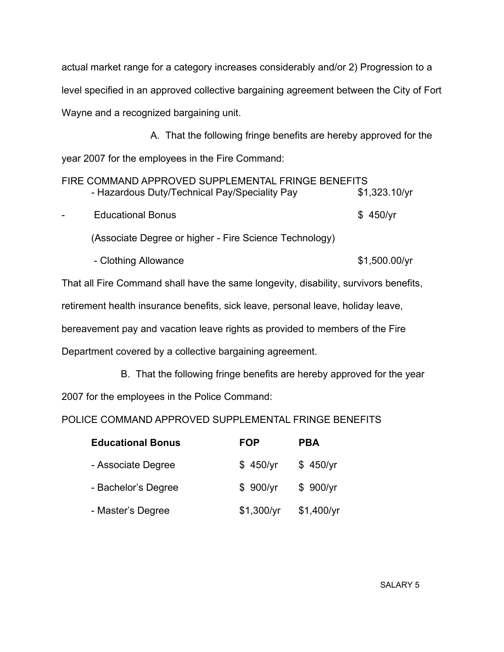actual market range for a category increases considerably and/or 2) Progression to a level specified in an approved collective bargaining agreement between the City of Fort Wayne and a recognized bargaining unit.

 A. That the following fringe benefits are hereby approved for the year 2007 for the employees in the Fire Command:

|        | FIRE COMMAND APPROVED SUPPLEMENTAL FRINGE BENEFITS     |               |
|--------|--------------------------------------------------------|---------------|
|        | - Hazardous Duty/Technical Pay/Speciality Pay          | \$1,323.10/yr |
| $\sim$ | <b>Educational Bonus</b>                               | \$450/yr      |
|        | (Associate Degree or higher - Fire Science Technology) |               |

- Clothing Allowance \$1,500.00/yr

That all Fire Command shall have the same longevity, disability, survivors benefits, retirement health insurance benefits, sick leave, personal leave, holiday leave, bereavement pay and vacation leave rights as provided to members of the Fire Department covered by a collective bargaining agreement.

B. That the following fringe benefits are hereby approved for the year

2007 for the employees in the Police Command:

POLICE COMMAND APPROVED SUPPLEMENTAL FRINGE BENEFITS

| <b>Educational Bonus</b> | <b>FOP</b> | <b>PBA</b> |
|--------------------------|------------|------------|
| - Associate Degree       | \$450/yr   | \$450/yr   |
| - Bachelor's Degree      | \$900/yr   | \$900/yr   |
| - Master's Degree        | \$1,300/yr | \$1,400/yr |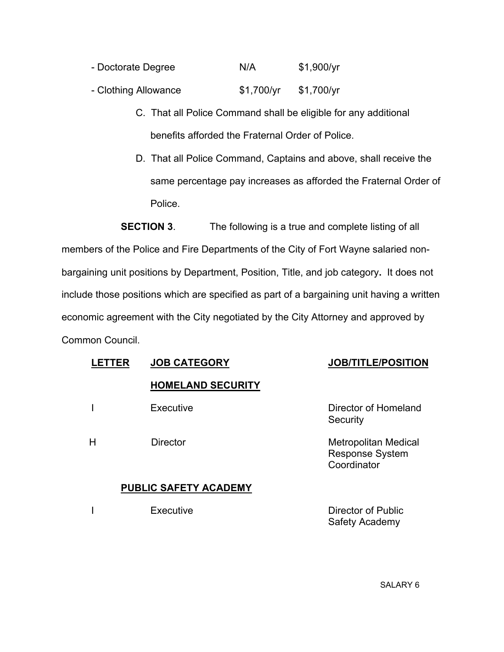- Doctorate Degree N/A \$1,900/yr
- Clothing Allowance  $$1,700/yr$  \$1,700/yr
	- C. That all Police Command shall be eligible for any additional benefits afforded the Fraternal Order of Police.
	- D. That all Police Command, Captains and above, shall receive the same percentage pay increases as afforded the Fraternal Order of Police.

**SECTION 3.** The following is a true and complete listing of all members of the Police and Fire Departments of the City of Fort Wayne salaried nonbargaining unit positions by Department, Position, Title, and job category. It does not include those positions which are specified as part of a bargaining unit having a written economic agreement with the City negotiated by the City Attorney and approved by Common Council.

| <b>.ETTER</b> | <b>JOB CATEGORY</b>          | <b>JOB/TITLE/POSITION</b>                                            |
|---------------|------------------------------|----------------------------------------------------------------------|
|               | <b>HOMELAND SECURITY</b>     |                                                                      |
|               | Executive                    | Director of Homeland<br>Security                                     |
| Н             | <b>Director</b>              | <b>Metropolitan Medical</b><br><b>Response System</b><br>Coordinator |
|               | <b>PUBLIC SAFETY ACADEMY</b> |                                                                      |
|               | Executive                    | Director of Public<br>Safety Academy                                 |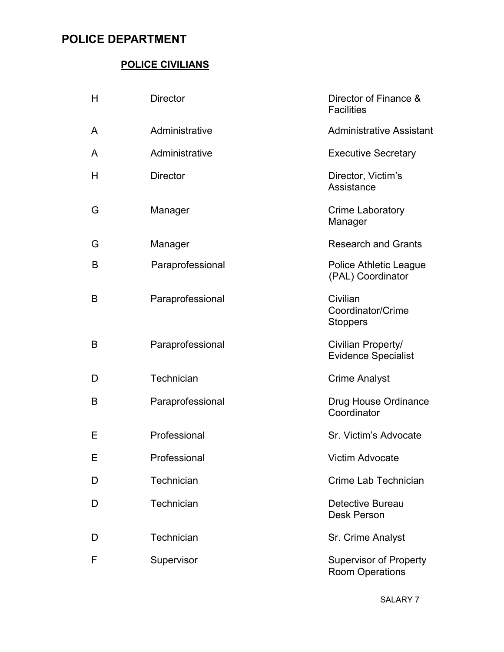# POLICE DEPARTMENT

#### POLICE CIVILIANS

| H | <b>Director</b>  | Director of Finance &<br><b>Facilities</b>         |
|---|------------------|----------------------------------------------------|
| A | Administrative   | <b>Administrative Assistant</b>                    |
| A | Administrative   | <b>Executive Secretary</b>                         |
| H | <b>Director</b>  | Director, Victim's<br>Assistance                   |
| G | Manager          | <b>Crime Laboratory</b><br>Manager                 |
| G | Manager          | <b>Research and Grants</b>                         |
| B | Paraprofessional | <b>Police Athletic League</b><br>(PAL) Coordinator |
| B | Paraprofessional | Civilian<br>Coordinator/Crime<br><b>Stoppers</b>   |
| B | Paraprofessional | Civilian Property/<br><b>Evidence Specialist</b>   |
| D | Technician       | <b>Crime Analyst</b>                               |
| B | Paraprofessional | Drug House Ordinance<br>Coordinator                |
| Ε | Professional     | Sr. Victim's Advocate                              |
| E | Professional     | <b>Victim Advocate</b>                             |
| D | Technician       | Crime Lab Technician                               |
| D | Technician       | <b>Detective Bureau</b><br><b>Desk Person</b>      |
| D | Technician       | Sr. Crime Analyst                                  |
| F | Supervisor       | <b>Supervisor of Property</b><br>Room Operations   |

SALARY 7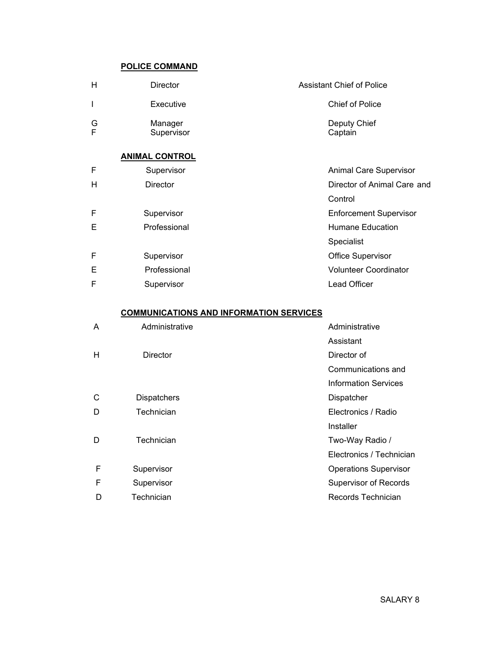#### POLICE COMMAND

| н      | <b>Director</b>       | <b>Assistant Chief of Police</b> |
|--------|-----------------------|----------------------------------|
|        | Executive             | <b>Chief of Police</b>           |
| G<br>F | Manager<br>Supervisor | Deputy Chief<br>Captain          |

#### ANIMAL CONTROL

| F | Supervisor      | <b>Animal Care Supervisor</b> |
|---|-----------------|-------------------------------|
| н | <b>Director</b> | Director of Animal Care and   |
|   |                 | Control                       |
| F | Supervisor      | <b>Enforcement Supervisor</b> |
| Ε | Professional    | Humane Education              |
|   |                 | Specialist                    |
| F | Supervisor      | <b>Office Supervisor</b>      |
| Ε | Professional    | <b>Volunteer Coordinator</b>  |
| F | Supervisor      | Lead Officer                  |

#### COMMUNICATIONS AND INFORMATION SERVICES

| A | Administrative     | Administrative               |
|---|--------------------|------------------------------|
|   |                    | Assistant                    |
| н | Director           | Director of                  |
|   |                    | Communications and           |
|   |                    | <b>Information Services</b>  |
| С | <b>Dispatchers</b> | Dispatcher                   |
| D | Technician         | Electronics / Radio          |
|   |                    | Installer                    |
| D | Technician         | Two-Way Radio /              |
|   |                    | Electronics / Technician     |
| F | Supervisor         | <b>Operations Supervisor</b> |
| F | Supervisor         | <b>Supervisor of Records</b> |
| D | Technician         | Records Technician           |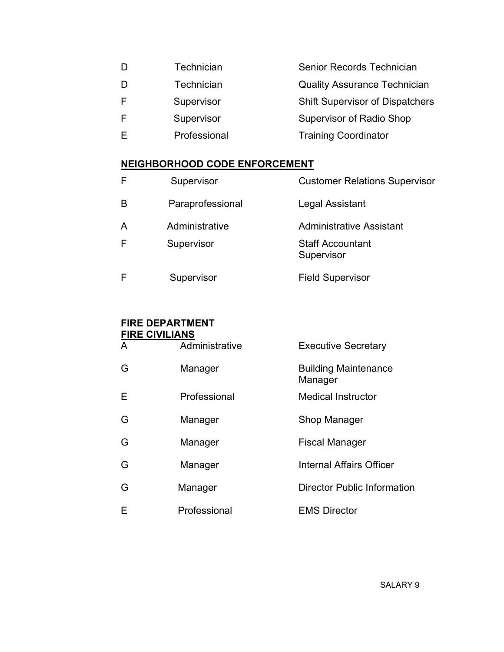| D | Technician   | Senior Records Technician              |
|---|--------------|----------------------------------------|
| D | Technician   | <b>Quality Assurance Technician</b>    |
| F | Supervisor   | <b>Shift Supervisor of Dispatchers</b> |
| F | Supervisor   | <b>Supervisor of Radio Shop</b>        |
| F | Professional | <b>Training Coordinator</b>            |
|   |              |                                        |

# NEIGHBORHOOD CODE ENFORCEMENT

| F | Supervisor       | <b>Customer Relations Supervisor</b>  |
|---|------------------|---------------------------------------|
| B | Paraprofessional | Legal Assistant                       |
| A | Administrative   | <b>Administrative Assistant</b>       |
| F | Supervisor       | <b>Staff Accountant</b><br>Supervisor |
| F | Supervisor       | <b>Field Supervisor</b>               |

# FIRE DEPARTMENT

| <b>FIRE CIVILIANS</b> |                |                                        |
|-----------------------|----------------|----------------------------------------|
| A                     | Administrative | <b>Executive Secretary</b>             |
| G                     | Manager        | <b>Building Maintenance</b><br>Manager |
| Е                     | Professional   | <b>Medical Instructor</b>              |
| G                     | Manager        | Shop Manager                           |
| G                     | Manager        | <b>Fiscal Manager</b>                  |
| G                     | Manager        | <b>Internal Affairs Officer</b>        |
| G                     | Manager        | <b>Director Public Information</b>     |
| Е                     | Professional   | <b>EMS Director</b>                    |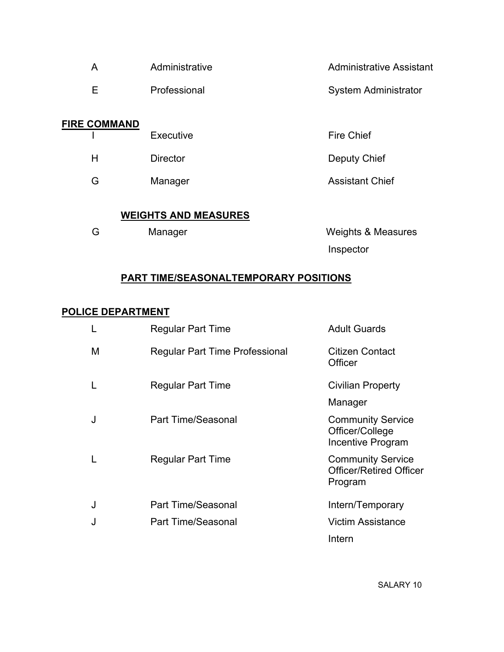| Administrative<br>A         |                 | <b>Administrative Assistant</b> |  |
|-----------------------------|-----------------|---------------------------------|--|
| Е                           | Professional    | <b>System Administrator</b>     |  |
| <b>FIRE COMMAND</b>         |                 |                                 |  |
|                             | Executive       | <b>Fire Chief</b>               |  |
| H                           | <b>Director</b> | Deputy Chief                    |  |
| G                           | Manager         | <b>Assistant Chief</b>          |  |
|                             |                 |                                 |  |
| <b>WEIGHTS AND MEASURES</b> |                 |                                 |  |
| G                           | Manager         | <b>Weights &amp; Measures</b>   |  |
|                             |                 | Inspector                       |  |

# PART TIME/SEASONALTEMPORARY POSITIONS

### POLICE DEPARTMENT

|   | <b>Regular Part Time</b>              | <b>Adult Guards</b>                                                   |
|---|---------------------------------------|-----------------------------------------------------------------------|
| M | <b>Regular Part Time Professional</b> | Citizen Contact<br>Officer                                            |
| L | <b>Regular Part Time</b>              | <b>Civilian Property</b>                                              |
|   |                                       | Manager                                                               |
| J | <b>Part Time/Seasonal</b>             | <b>Community Service</b><br>Officer/College<br>Incentive Program      |
| L | <b>Regular Part Time</b>              | <b>Community Service</b><br><b>Officer/Retired Officer</b><br>Program |
| J | <b>Part Time/Seasonal</b>             | Intern/Temporary                                                      |
| J | Part Time/Seasonal                    | <b>Victim Assistance</b>                                              |
|   |                                       | Intern                                                                |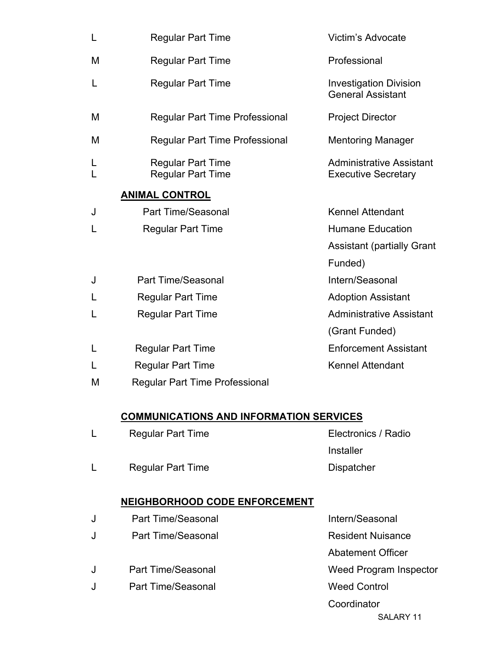| L | <b>Regular Part Time</b>                             | Victim's Advocate                                             |
|---|------------------------------------------------------|---------------------------------------------------------------|
| M | <b>Regular Part Time</b>                             | Professional                                                  |
| L | <b>Regular Part Time</b>                             | <b>Investigation Division</b><br><b>General Assistant</b>     |
| M | <b>Regular Part Time Professional</b>                | <b>Project Director</b>                                       |
| M | <b>Regular Part Time Professional</b>                | <b>Mentoring Manager</b>                                      |
| L | <b>Regular Part Time</b><br><b>Regular Part Time</b> | <b>Administrative Assistant</b><br><b>Executive Secretary</b> |
|   | <b>ANIMAL CONTROL</b>                                |                                                               |
| J | <b>Part Time/Seasonal</b>                            | <b>Kennel Attendant</b>                                       |
| L | <b>Regular Part Time</b>                             | <b>Humane Education</b>                                       |
|   |                                                      | <b>Assistant (partially Grant</b>                             |
|   |                                                      | Funded)                                                       |
| J | <b>Part Time/Seasonal</b>                            | Intern/Seasonal                                               |
|   | <b>Regular Part Time</b>                             | <b>Adoption Assistant</b>                                     |
| L | <b>Regular Part Time</b>                             | <b>Administrative Assistant</b>                               |
|   |                                                      | (Grant Funded)                                                |
| L | <b>Regular Part Time</b>                             | <b>Enforcement Assistant</b>                                  |
|   | <b>Regular Part Time</b>                             | <b>Kennel Attendant</b>                                       |
| M | <b>Regular Part Time Professional</b>                |                                                               |
|   | <b>COMMUNICATIONS AND INFORMATION SERVICES</b>       |                                                               |
| L | <b>Regular Part Time</b>                             | Electronics / Radio                                           |
|   |                                                      | Installer                                                     |
| L | <b>Regular Part Time</b>                             | Dispatcher                                                    |
|   | <b>NEIGHBORHOOD CODE ENFORCEMENT</b>                 |                                                               |
| J | <b>Part Time/Seasonal</b>                            | Intern/Seasonal                                               |
| J | <b>Part Time/Seasonal</b>                            | <b>Resident Nuisance</b>                                      |
|   |                                                      | <b>Abatement Officer</b>                                      |

- J Part Time/Seasonal Weed Program Inspector
- J Part Time/Seasonal Weed Control
	- **Coordinator** SALARY 11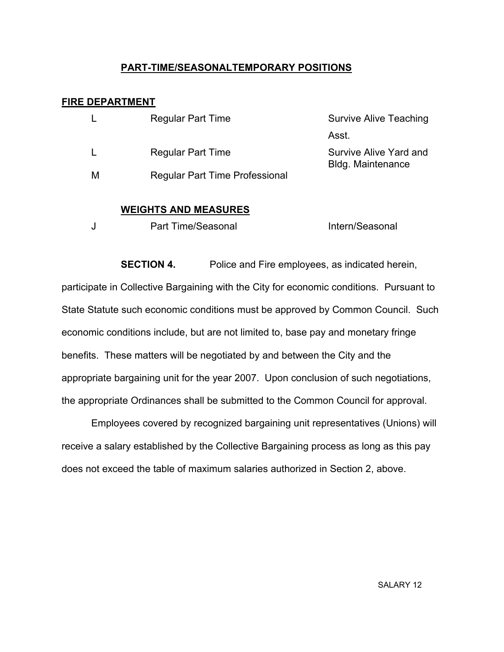#### PART-TIME/SEASONALTEMPORARY POSITIONS

#### FIRE DEPARTMENT

|   | <b>Regular Part Time</b>              | <b>Survive Alive Teaching</b>                      |
|---|---------------------------------------|----------------------------------------------------|
|   |                                       | Asst.                                              |
|   | <b>Regular Part Time</b>              | Survive Alive Yard and<br><b>Bldg. Maintenance</b> |
| M | <b>Regular Part Time Professional</b> |                                                    |

#### WEIGHTS AND MEASURES

|  | Part Time/Seasonal | Intern/Seasonal |
|--|--------------------|-----------------|
|--|--------------------|-----------------|

**SECTION 4.** Police and Fire employees, as indicated herein, participate in Collective Bargaining with the City for economic conditions. Pursuant to State Statute such economic conditions must be approved by Common Council. Such economic conditions include, but are not limited to, base pay and monetary fringe benefits. These matters will be negotiated by and between the City and the appropriate bargaining unit for the year 2007. Upon conclusion of such negotiations, the appropriate Ordinances shall be submitted to the Common Council for approval.

 Employees covered by recognized bargaining unit representatives (Unions) will receive a salary established by the Collective Bargaining process as long as this pay does not exceed the table of maximum salaries authorized in Section 2, above.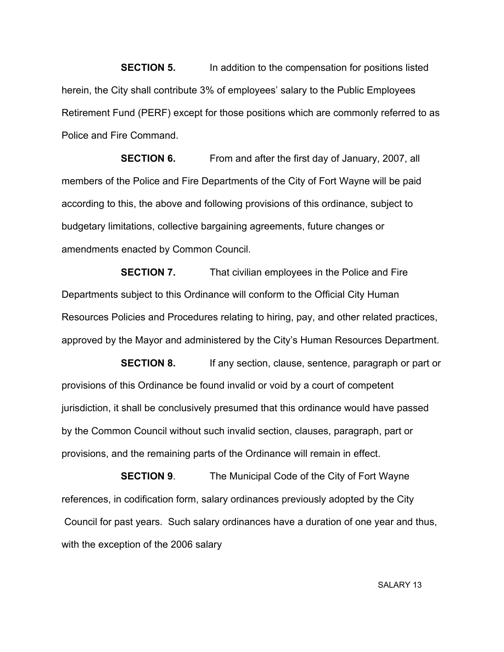**SECTION 5.** In addition to the compensation for positions listed herein, the City shall contribute 3% of employees' salary to the Public Employees Retirement Fund (PERF) except for those positions which are commonly referred to as Police and Fire Command.

**SECTION 6.** From and after the first day of January, 2007, all members of the Police and Fire Departments of the City of Fort Wayne will be paid according to this, the above and following provisions of this ordinance, subject to budgetary limitations, collective bargaining agreements, future changes or amendments enacted by Common Council.

**SECTION 7.** That civilian employees in the Police and Fire Departments subject to this Ordinance will conform to the Official City Human Resources Policies and Procedures relating to hiring, pay, and other related practices, approved by the Mayor and administered by the City's Human Resources Department.

**SECTION 8.** If any section, clause, sentence, paragraph or part or provisions of this Ordinance be found invalid or void by a court of competent jurisdiction, it shall be conclusively presumed that this ordinance would have passed by the Common Council without such invalid section, clauses, paragraph, part or provisions, and the remaining parts of the Ordinance will remain in effect.

**SECTION 9.** The Municipal Code of the City of Fort Wayne references, in codification form, salary ordinances previously adopted by the City Council for past years. Such salary ordinances have a duration of one year and thus, with the exception of the 2006 salary

SALARY 13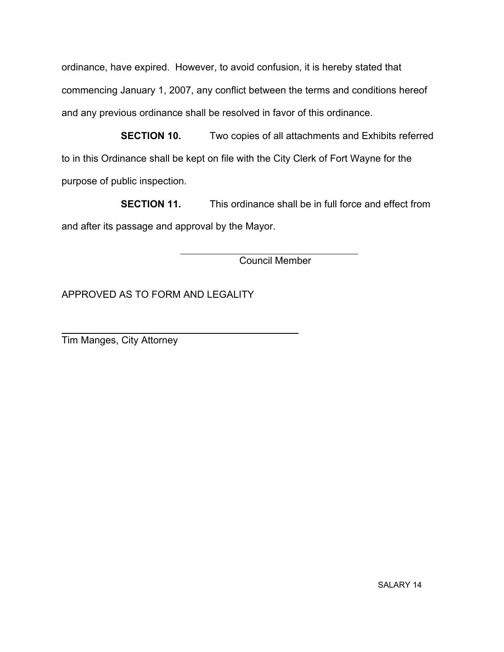ordinance, have expired. However, to avoid confusion, it is hereby stated that commencing January 1, 2007, any conflict between the terms and conditions hereof and any previous ordinance shall be resolved in favor of this ordinance.

**SECTION 10.** Two copies of all attachments and Exhibits referred to in this Ordinance shall be kept on file with the City Clerk of Fort Wayne for the purpose of public inspection.

 SECTION 11. This ordinance shall be in full force and effect from and after its passage and approval by the Mayor.

Council Member

APPROVED AS TO FORM AND LEGALITY

Tim Manges, City Attorney

 $\overline{a}$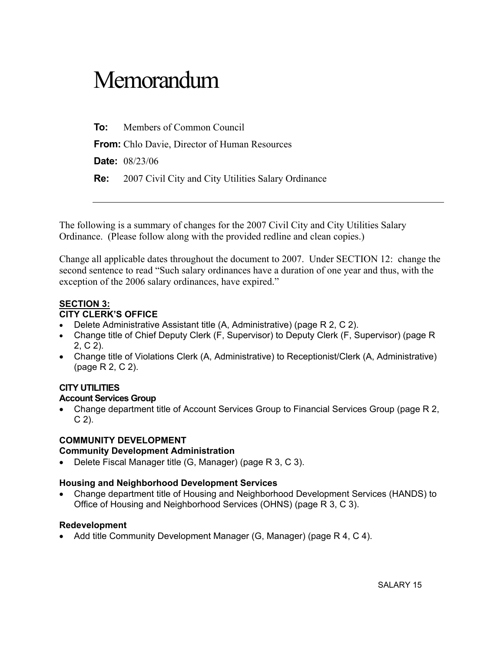# Memorandum

To: Members of Common Council

From: Chlo Davie, Director of Human Resources

Date: 08/23/06

Re: 2007 Civil City and City Utilities Salary Ordinance

The following is a summary of changes for the 2007 Civil City and City Utilities Salary Ordinance. (Please follow along with the provided redline and clean copies.)

Change all applicable dates throughout the document to 2007. Under SECTION 12: change the second sentence to read "Such salary ordinances have a duration of one year and thus, with the exception of the 2006 salary ordinances, have expired."

#### SECTION 3:

#### CITY CLERK'S OFFICE

- Delete Administrative Assistant title (A, Administrative) (page R 2, C 2).
- Change title of Chief Deputy Clerk (F, Supervisor) to Deputy Clerk (F, Supervisor) (page R 2, C 2).
- Change title of Violations Clerk (A, Administrative) to Receptionist/Clerk (A, Administrative) (page R 2, C 2).

#### CITY UTILITIES

#### Account Services Group

• Change department title of Account Services Group to Financial Services Group (page R 2,  $C$  2).

#### COMMUNITY DEVELOPMENT

#### Community Development Administration

• Delete Fiscal Manager title (G, Manager) (page R 3, C 3).

#### Housing and Neighborhood Development Services

• Change department title of Housing and Neighborhood Development Services (HANDS) to Office of Housing and Neighborhood Services (OHNS) (page R 3, C 3).

#### Redevelopment

• Add title Community Development Manager (G, Manager) (page R 4, C 4).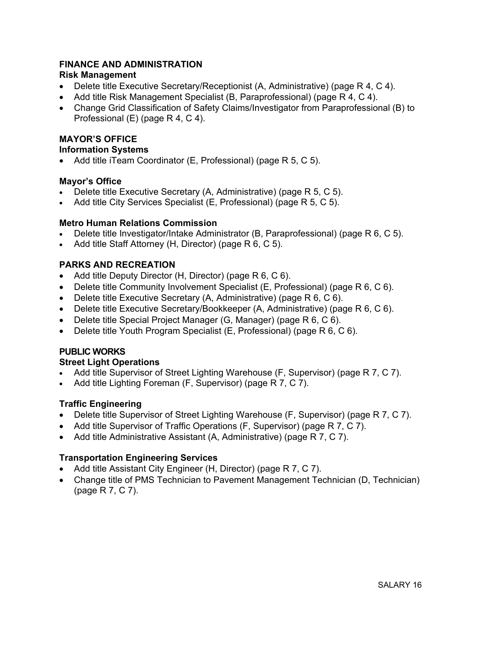#### FINANCE AND ADMINISTRATION

#### Risk Management

- Delete title Executive Secretary/Receptionist (A, Administrative) (page R 4, C 4).
- Add title Risk Management Specialist (B, Paraprofessional) (page R 4, C 4).
- Change Grid Classification of Safety Claims/Investigator from Paraprofessional (B) to Professional (E) (page R 4, C 4).

#### MAYOR'S OFFICE

#### Information Systems

• Add title iTeam Coordinator (E, Professional) (page R 5, C 5).

#### Mayor's Office

- Delete title Executive Secretary (A, Administrative) (page R 5, C 5).
- Add title City Services Specialist (E, Professional) (page R 5, C 5).

#### Metro Human Relations Commission

- Delete title Investigator/Intake Administrator (B, Paraprofessional) (page R 6, C 5).
- Add title Staff Attorney (H, Director) (page R 6, C 5).

#### PARKS AND RECREATION

- Add title Deputy Director (H, Director) (page R 6, C 6).
- Delete title Community Involvement Specialist (E, Professional) (page R 6, C 6).
- Delete title Executive Secretary (A, Administrative) (page R 6, C 6).
- Delete title Executive Secretary/Bookkeeper (A, Administrative) (page R 6, C 6).
- Delete title Special Project Manager (G, Manager) (page R 6, C 6).
- Delete title Youth Program Specialist (E, Professional) (page R 6, C 6).

#### PUBLIC WORKS

#### Street Light Operations

- Add title Supervisor of Street Lighting Warehouse (F, Supervisor) (page R 7, C 7).
- Add title Lighting Foreman (F, Supervisor) (page R 7, C 7).

#### Traffic Engineering

- Delete title Supervisor of Street Lighting Warehouse (F, Supervisor) (page R 7, C 7).
- Add title Supervisor of Traffic Operations (F, Supervisor) (page R 7, C 7).
- Add title Administrative Assistant (A, Administrative) (page R 7, C 7).

#### Transportation Engineering Services

- Add title Assistant City Engineer (H, Director) (page R 7, C 7).
- Change title of PMS Technician to Pavement Management Technician (D, Technician) (page R 7, C 7).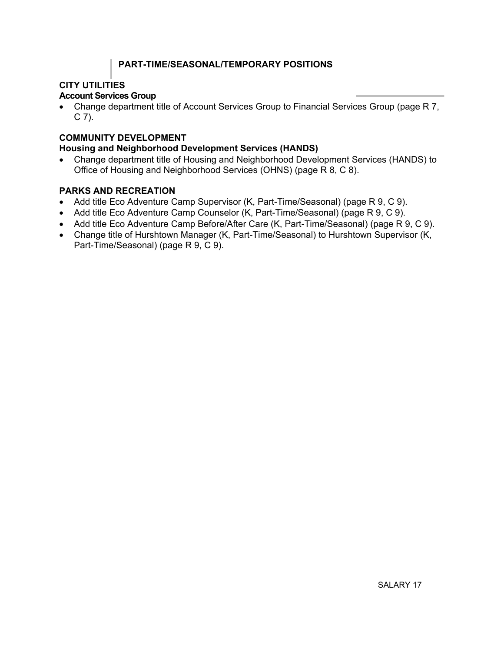#### PART-TIME/SEASONAL/TEMPORARY POSITIONS

#### CITY UTILITIES

#### Account Services Group

• Change department title of Account Services Group to Financial Services Group (page R 7, C 7).

#### COMMUNITY DEVELOPMENT

#### Housing and Neighborhood Development Services (HANDS)

• Change department title of Housing and Neighborhood Development Services (HANDS) to Office of Housing and Neighborhood Services (OHNS) (page R 8, C 8).

#### PARKS AND RECREATION

- Add title Eco Adventure Camp Supervisor (K, Part-Time/Seasonal) (page R 9, C 9).
- Add title Eco Adventure Camp Counselor (K, Part-Time/Seasonal) (page R 9, C 9).
- Add title Eco Adventure Camp Before/After Care (K, Part-Time/Seasonal) (page R 9, C 9).
- Change title of Hurshtown Manager (K, Part-Time/Seasonal) to Hurshtown Supervisor (K, Part-Time/Seasonal) (page R 9, C 9).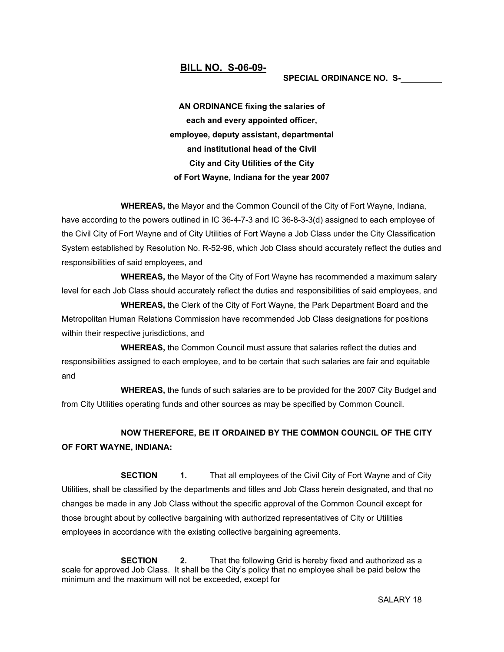#### BILL NO. S-06-09-

#### SPECIAL ORDINANCE NO. S-

AN ORDINANCE fixing the salaries of each and every appointed officer, employee, deputy assistant, departmental and institutional head of the Civil City and City Utilities of the City of Fort Wayne, Indiana for the year 2007

 WHEREAS, the Mayor and the Common Council of the City of Fort Wayne, Indiana, have according to the powers outlined in IC 36-4-7-3 and IC 36-8-3-3(d) assigned to each employee of the Civil City of Fort Wayne and of City Utilities of Fort Wayne a Job Class under the City Classification System established by Resolution No. R-52-96, which Job Class should accurately reflect the duties and responsibilities of said employees, and

 WHEREAS, the Mayor of the City of Fort Wayne has recommended a maximum salary level for each Job Class should accurately reflect the duties and responsibilities of said employees, and

 WHEREAS, the Clerk of the City of Fort Wayne, the Park Department Board and the Metropolitan Human Relations Commission have recommended Job Class designations for positions within their respective jurisdictions, and

 WHEREAS, the Common Council must assure that salaries reflect the duties and responsibilities assigned to each employee, and to be certain that such salaries are fair and equitable and

 WHEREAS, the funds of such salaries are to be provided for the 2007 City Budget and from City Utilities operating funds and other sources as may be specified by Common Council.

#### NOW THEREFORE, BE IT ORDAINED BY THE COMMON COUNCIL OF THE CITY OF FORT WAYNE, INDIANA:

**SECTION** 1. That all employees of the Civil City of Fort Wayne and of City Utilities, shall be classified by the departments and titles and Job Class herein designated, and that no changes be made in any Job Class without the specific approval of the Common Council except for those brought about by collective bargaining with authorized representatives of City or Utilities employees in accordance with the existing collective bargaining agreements.

**SECTION** 2. That the following Grid is hereby fixed and authorized as a scale for approved Job Class. It shall be the City's policy that no employee shall be paid below the minimum and the maximum will not be exceeded, except for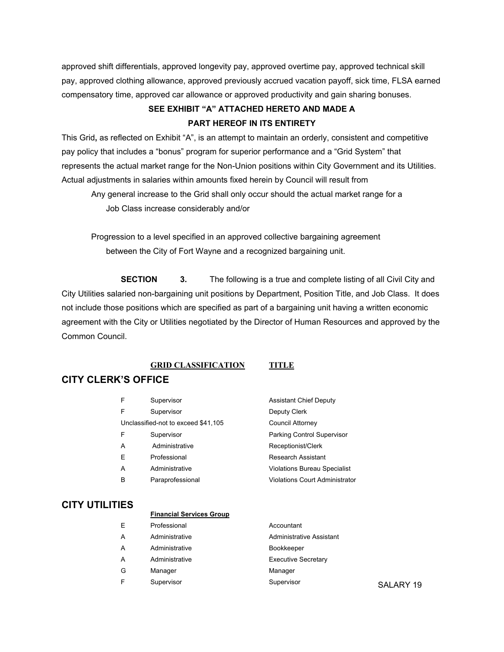approved shift differentials, approved longevity pay, approved overtime pay, approved technical skill pay, approved clothing allowance, approved previously accrued vacation payoff, sick time, FLSA earned compensatory time, approved car allowance or approved productivity and gain sharing bonuses.

#### SEE EXHIBIT "A" ATTACHED HERETO AND MADE A PART HEREOF IN ITS ENTIRETY

This Grid, as reflected on Exhibit "A", is an attempt to maintain an orderly, consistent and competitive pay policy that includes a "bonus" program for superior performance and a "Grid System" that represents the actual market range for the Non-Union positions within City Government and its Utilities. Actual adjustments in salaries within amounts fixed herein by Council will result from Any general increase to the Grid shall only occur should the actual market range for a

Job Class increase considerably and/or

Progression to a level specified in an approved collective bargaining agreement between the City of Fort Wayne and a recognized bargaining unit.

**SECTION** 3. The following is a true and complete listing of all Civil City and City Utilities salaried non-bargaining unit positions by Department, Position Title, and Job Class. It does not include those positions which are specified as part of a bargaining unit having a written economic agreement with the City or Utilities negotiated by the Director of Human Resources and approved by the Common Council.

#### GRID CLASSIFICATION TITLE

#### CITY CLERK'S OFFICE

| F | Supervisor                          | <b>Assistant Chief Deputy</b>       |
|---|-------------------------------------|-------------------------------------|
| F | Supervisor                          | Deputy Clerk                        |
|   | Unclassified-not to exceed \$41,105 | Council Attorney                    |
| F | Supervisor                          | Parking Control Supervisor          |
| A | Administrative                      | Receptionist/Clerk                  |
| E | Professional                        | Research Assistant                  |
| A | Administrative                      | <b>Violations Bureau Specialist</b> |
| в | Paraprofessional                    | Violations Court Administrator      |
|   |                                     |                                     |

#### CITY UTILITIES

#### Financial Services Group

| E | Professional   | Accountant                 |           |
|---|----------------|----------------------------|-----------|
| A | Administrative | Administrative Assistant   |           |
| A | Administrative | Bookkeeper                 |           |
| A | Administrative | <b>Executive Secretary</b> |           |
| G | Manager        | Manager                    |           |
| F | Supervisor     | Supervisor                 | SALARY 19 |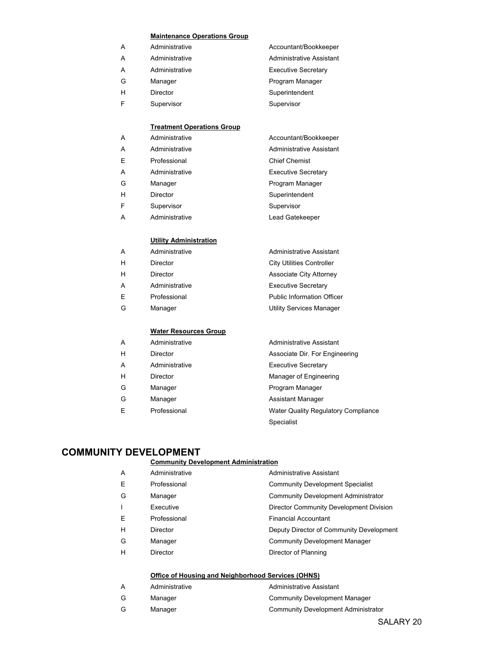#### Maintenance Operations Group

| Administrative<br>Administrative Assistant<br>A   |
|---------------------------------------------------|
| <b>Executive Secretary</b><br>Administrative<br>A |
| Program Manager<br>G<br>Manager                   |
| Superintendent<br>н<br>Director                   |
| Supervisor<br>Supervisor<br>F                     |

#### **Treatment Operations Group**

| Α | Administrative  | Accountant/Bookkeeper      |
|---|-----------------|----------------------------|
| A | Administrative  | Administrative Assistant   |
| E | Professional    | <b>Chief Chemist</b>       |
| Α | Administrative  | <b>Executive Secretary</b> |
| G | Manager         | Program Manager            |
| н | <b>Director</b> | Superintendent             |
| F | Supervisor      | Supervisor                 |
| A | Administrative  | Lead Gatekeeper            |
|   |                 |                            |

#### Utility Administration

| A | Administrative | Administrative Assistant          |
|---|----------------|-----------------------------------|
| н | Director       | <b>City Utilities Controller</b>  |
| н | Director       | Associate City Attorney           |
| A | Administrative | <b>Executive Secretary</b>        |
| Ε | Professional   | <b>Public Information Officer</b> |
| G | Manager        | <b>Utility Services Manager</b>   |
|   |                |                                   |
|   |                |                                   |

#### Water Resources Group

| A | Administrative | Administrative Assistant            |
|---|----------------|-------------------------------------|
| н | Director       | Associate Dir. For Engineering      |
| A | Administrative | <b>Executive Secretary</b>          |
| н | Director       | Manager of Engineering              |
| G | Manager        | Program Manager                     |
| G | Manager        | <b>Assistant Manager</b>            |
| E | Professional   | Water Quality Regulatory Compliance |
|   |                | Specialist                          |

#### COMMUNITY DEVELOPMENT

#### Community Development Administration

| A | Administrative  | Administrative Assistant                   |
|---|-----------------|--------------------------------------------|
| Е | Professional    | <b>Community Development Specialist</b>    |
| G | Manager         | <b>Community Development Administrator</b> |
|   | Executive       | Director Community Development Division    |
| Е | Professional    | <b>Financial Accountant</b>                |
| н | <b>Director</b> | Deputy Director of Community Development   |
| G | Manager         | <b>Community Development Manager</b>       |
| Н | <b>Director</b> | Director of Planning                       |
|   |                 |                                            |

#### Office of Housing and Neighborhood Services (OHNS)

|   | Administrative | Administrative Assistant            |
|---|----------------|-------------------------------------|
| G | Manager        | Community Development Manager       |
| G | Manager        | Community Development Administrator |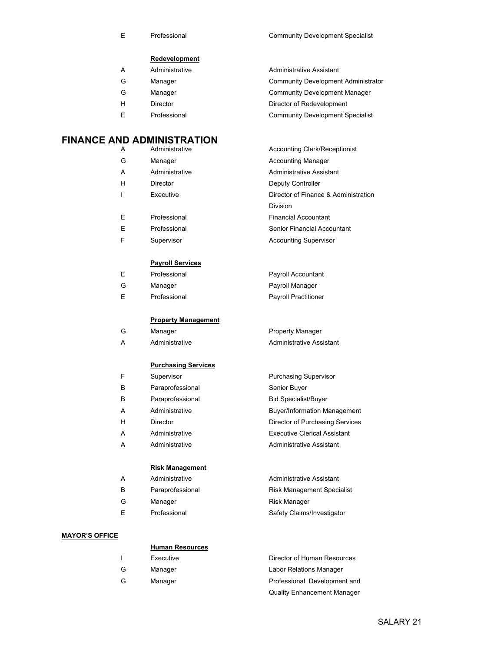E Professional **E** Professional **Community Development Specialist** 

#### **Redevelopment**

| A | Administrative | Administrative Assistant                |
|---|----------------|-----------------------------------------|
| G | Manager        | Community Development Administrator     |
| G | Manager        | <b>Community Development Manager</b>    |
| н | Director       | Director of Redevelopment               |
| F | Professional   | <b>Community Development Specialist</b> |

#### FINANCE AND ADMINISTRATION

| A | Administrative | <b>Accounting Clerk/Receptionist</b> |
|---|----------------|--------------------------------------|
| G | Manager        | <b>Accounting Manager</b>            |
| A | Administrative | Administrative Assistant             |
| н | Director       | Deputy Controller                    |
|   | Executive      | Director of Finance & Administration |
|   |                | <b>Division</b>                      |
| E | Professional   | <b>Financial Accountant</b>          |
| Е | Professional   | Senior Financial Accountant          |
| F | Supervisor     | <b>Accounting Supervisor</b>         |

#### Payroll Services

|    | Professional | Payroll Accountant          |
|----|--------------|-----------------------------|
| G  | Manager      | Payroll Manager             |
| ь. | Professional | <b>Payroll Practitioner</b> |

Property Manager

Purchasing Supervisor

**Administrative Assistant** Risk Management Specialist

Safety Claims/Investigator

Quality Enhancement Manager

Risk Manager

**Buyer/Information Management** Director of Purchasing Services **Executive Clerical Assistant Administrative Assistant** 

Senior Buyer Bid Specialist/Buyer

#### Property Management

| Manager        | Property Manager                |
|----------------|---------------------------------|
| Administrative | <b>Administrative Assistant</b> |

#### Purchasing Services

| F | Supervisor       |
|---|------------------|
| В | Paraprofessional |
| В | Paraprofessional |
| А | Administrative   |
| н | Director         |
| А | Administrative   |
| А | Administrative   |
|   |                  |

#### Risk Management

| А | Administrative   |
|---|------------------|
| в | Paraprofessional |
| G | Manager          |
| Е | Professional     |

#### MAYOR'S OFFICE

|   | <b>Human Resources</b> |                              |
|---|------------------------|------------------------------|
|   | Executive              | Director of Human Resources  |
| G | Manager                | Labor Relations Manager      |
| G | Manager                | Professional Development and |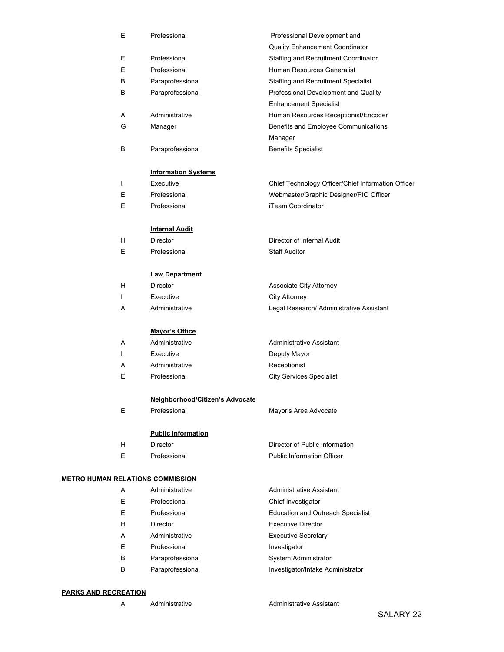|                                         | E | Professional                    | Professional Development and                                          |
|-----------------------------------------|---|---------------------------------|-----------------------------------------------------------------------|
|                                         |   |                                 | <b>Quality Enhancement Coordinator</b>                                |
|                                         | E | Professional                    | Staffing and Recruitment Coordinator                                  |
|                                         | E | Professional                    | Human Resources Generalist                                            |
|                                         | B | Paraprofessional                | Staffing and Recruitment Specialist                                   |
|                                         | B | Paraprofessional                | Professional Development and Quality                                  |
|                                         |   |                                 | <b>Enhancement Specialist</b>                                         |
|                                         | Α | Administrative                  | Human Resources Receptionist/Encoder                                  |
|                                         | G | Manager                         | Benefits and Employee Communications                                  |
|                                         |   |                                 | Manager                                                               |
|                                         | B | Paraprofessional                | <b>Benefits Specialist</b>                                            |
|                                         |   |                                 |                                                                       |
|                                         |   | <b>Information Systems</b>      |                                                                       |
|                                         | L | Executive                       | Chief Technology Officer/Chief Information Officer                    |
|                                         | E | Professional                    | Webmaster/Graphic Designer/PIO Officer                                |
|                                         | E | Professional                    | iTeam Coordinator                                                     |
|                                         |   |                                 |                                                                       |
|                                         |   | <b>Internal Audit</b>           |                                                                       |
|                                         | H | <b>Director</b>                 | Director of Internal Audit                                            |
|                                         | E | Professional                    | <b>Staff Auditor</b>                                                  |
|                                         |   |                                 |                                                                       |
|                                         |   | <b>Law Department</b>           |                                                                       |
|                                         | H | Director                        | Associate City Attorney                                               |
|                                         | L | Executive                       | <b>City Attorney</b>                                                  |
|                                         | Α | Administrative                  | Legal Research/ Administrative Assistant                              |
|                                         |   |                                 |                                                                       |
|                                         |   | Mayor's Office                  |                                                                       |
|                                         | A | Administrative                  | Administrative Assistant                                              |
|                                         | L | Executive                       | Deputy Mayor                                                          |
|                                         | Α | Administrative                  | Receptionist                                                          |
|                                         | E | Professional                    | <b>City Services Specialist</b>                                       |
|                                         |   |                                 |                                                                       |
|                                         |   | Neighborhood/Citizen's Advocate |                                                                       |
|                                         | E | Professional                    | Mayor's Area Advocate                                                 |
|                                         |   |                                 |                                                                       |
|                                         |   | <b>Public Information</b>       |                                                                       |
|                                         | H | <b>Director</b>                 | Director of Public Information                                        |
|                                         | E | Professional                    | <b>Public Information Officer</b>                                     |
|                                         |   |                                 |                                                                       |
| <b>METRO HUMAN RELATIONS COMMISSION</b> | A | Administrative                  | Administrative Assistant                                              |
|                                         | Е | Professional                    | Chief Investigator                                                    |
|                                         | E | Professional                    |                                                                       |
|                                         | H | <b>Director</b>                 | <b>Education and Outreach Specialist</b><br><b>Executive Director</b> |
|                                         | A | Administrative                  |                                                                       |
|                                         | E |                                 | <b>Executive Secretary</b>                                            |
|                                         |   | Professional                    | Investigator                                                          |
|                                         | В | Paraprofessional                | System Administrator                                                  |
|                                         | в | Paraprofessional                | Investigator/Intake Administrator                                     |

#### PARKS AND RECREATION

A Administrative Administrative Assistant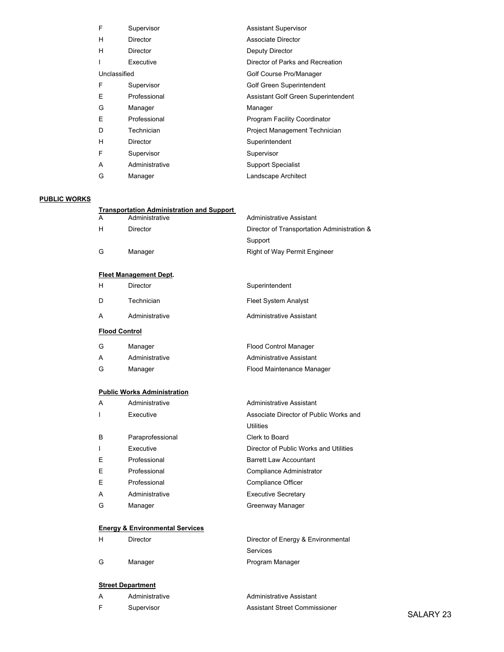| F            | Supervisor      | <b>Assistant Supervisor</b>         |
|--------------|-----------------|-------------------------------------|
| н            | <b>Director</b> | Associate Director                  |
| н            | Director        | Deputy Director                     |
|              | Executive       | Director of Parks and Recreation    |
| Unclassified |                 | Golf Course Pro/Manager             |
| F            | Supervisor      | Golf Green Superintendent           |
| Ε            | Professional    | Assistant Golf Green Superintendent |
| G            | Manager         | Manager                             |
| E            | Professional    | Program Facility Coordinator        |
| D            | Technician      | Project Management Technician       |
| H            | Director        | Superintendent                      |
| F            | Supervisor      | Supervisor                          |
| A            | Administrative  | <b>Support Specialist</b>           |
| G            | Manager         | Landscape Architect                 |

#### PUBLIC WORKS

|   | <b>Transportation Administration and Support</b> |                                             |
|---|--------------------------------------------------|---------------------------------------------|
| А | Administrative                                   | Administrative Assistant                    |
| н | Director                                         | Director of Transportation Administration & |
|   |                                                  | Support                                     |
| G | Manager                                          | <b>Right of Way Permit Engineer</b>         |
|   |                                                  |                                             |

#### Fleet Management Dept.

| <b>Flood Control</b> |                |                                 |
|----------------------|----------------|---------------------------------|
| A                    | Administrative | <b>Administrative Assistant</b> |
| D                    | Technician     | <b>Fleet System Analyst</b>     |
| н                    | Director       | Superintendent                  |

| G | Manager        | <b>Flood Control Manager</b> |
|---|----------------|------------------------------|
| A | Administrative | Administrative Assistant     |
| G | Manager        | Flood Maintenance Manager    |

#### Public Works Administration

| A | Administrative   | Administrative Assistant               |
|---|------------------|----------------------------------------|
|   | Executive        | Associate Director of Public Works and |
|   |                  | <b>Utilities</b>                       |
| В | Paraprofessional | Clerk to Board                         |
|   | Executive        | Director of Public Works and Utilities |
| E | Professional     | <b>Barrett Law Accountant</b>          |
| E | Professional     | Compliance Administrator               |
| E | Professional     | Compliance Officer                     |
| A | Administrative   | <b>Executive Secretary</b>             |
| G | Manager          | Greenway Manager                       |

#### Energy & Environmental Services

| н | Director | Director of Energy & Environmental |  |
|---|----------|------------------------------------|--|
|   |          | Services                           |  |
| G | Manager  | Program Manager                    |  |

#### **Street Department**

|  | Administrative | Administrative Assistant      |
|--|----------------|-------------------------------|
|  | Supervisor     | Assistant Street Commissioner |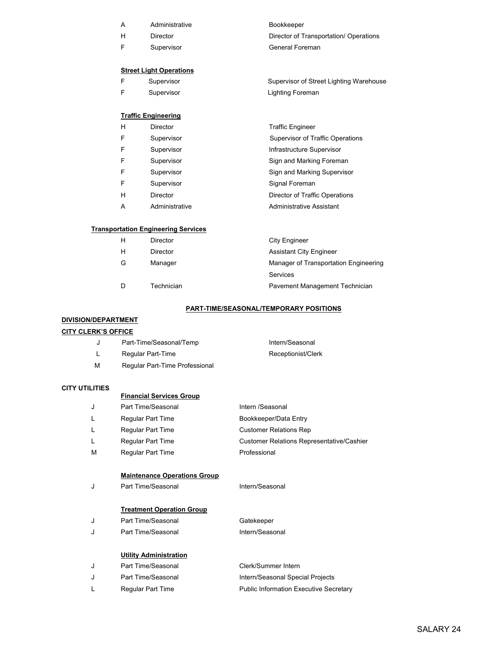| A | Administrative                 | Bookkeeper                              |
|---|--------------------------------|-----------------------------------------|
| H | Director                       | Director of Transportation/ Operations  |
| F | Supervisor                     | General Foreman                         |
|   |                                |                                         |
|   | <b>Street Light Operations</b> |                                         |
| F | Supervisor                     | Supervisor of Street Lighting Warehouse |
| F | Supervisor                     | Lighting Foreman                        |
|   |                                |                                         |
|   | <b>Traffic Engineering</b>     |                                         |
| H | <b>Director</b>                | <b>Traffic Engineer</b>                 |
| F | Supervisor                     | Supervisor of Traffic Operations        |
| F | Supervisor                     | Infrastructure Supervisor               |
| F | Supervisor                     | Sign and Marking Foreman                |
| F | Supervisor                     | Sign and Marking Supervisor             |
| F | Supervisor                     | Signal Foreman                          |
| H | <b>Director</b>                | Director of Traffic Operations          |
| A | Administrative                 | Administrative Assistant                |

# Transportation Engineering

|   | Director   | <b>City Engineer</b>                  |
|---|------------|---------------------------------------|
| н | Director   | <b>Assistant City Engineer</b>        |
| G | Manager    | Manager of Transportation Engineering |
|   |            | Services                              |
|   | Technician | Pavement Management Technician        |
|   |            |                                       |

#### PART-TIME/SEASONAL/TEMPORARY POSITIONS

#### DIVISION/DEPARTMENT

#### **CITY CLERK'S OFFICE**

|   | Part-Time/Seasonal/Temp        | Intern/Seasonal    |
|---|--------------------------------|--------------------|
|   | Regular Part-Time              | Receptionist/Clerk |
| м | Regular Part-Time Professional |                    |

#### CITY UTILITIES

| -------------- |                                     |                                                  |
|----------------|-------------------------------------|--------------------------------------------------|
|                | <b>Financial Services Group</b>     |                                                  |
| J              | Part Time/Seasonal                  | Intern /Seasonal                                 |
|                | Regular Part Time                   | Bookkeeper/Data Entry                            |
|                | Regular Part Time                   | <b>Customer Relations Rep</b>                    |
|                | Regular Part Time                   | <b>Customer Relations Representative/Cashier</b> |
| М              | Regular Part Time                   | Professional                                     |
|                | <b>Maintenance Operations Group</b> |                                                  |
| J              | Part Time/Seasonal                  | Intern/Seasonal                                  |

#### Treatment Operation Group

| Part Time/Seasonal | Gatekeeper      |
|--------------------|-----------------|
| Part Time/Seasonal | Intern/Seasonal |

#### Utility Administration

| Part Time/Seasonal | Clerk/Summer Intern                           |
|--------------------|-----------------------------------------------|
| Part Time/Seasonal | Intern/Seasonal Special Projects              |
| Regular Part Time  | <b>Public Information Executive Secretary</b> |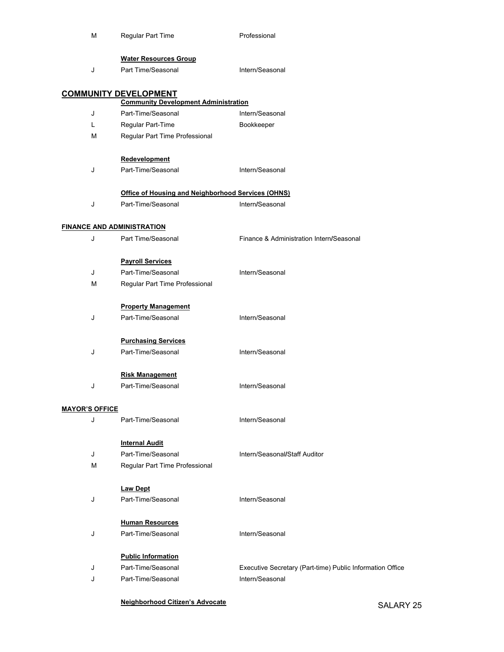| М                                 | Regular Part Time                                                           | Professional                                              |
|-----------------------------------|-----------------------------------------------------------------------------|-----------------------------------------------------------|
| J                                 | <b>Water Resources Group</b><br>Part Time/Seasonal                          | Intern/Seasonal                                           |
|                                   | <b>COMMUNITY DEVELOPMENT</b><br><b>Community Development Administration</b> |                                                           |
| J                                 | Part-Time/Seasonal                                                          | Intern/Seasonal                                           |
| L                                 | Regular Part-Time                                                           | Bookkeeper                                                |
| М                                 | Regular Part Time Professional                                              |                                                           |
|                                   | Redevelopment                                                               |                                                           |
| J                                 | Part-Time/Seasonal                                                          | Intern/Seasonal                                           |
|                                   | Office of Housing and Neighborhood Services (OHNS)                          |                                                           |
| J                                 | Part-Time/Seasonal                                                          | Intern/Seasonal                                           |
| <b>FINANCE AND ADMINISTRATION</b> |                                                                             |                                                           |
| J                                 | Part Time/Seasonal                                                          | Finance & Administration Intern/Seasonal                  |
|                                   | <b>Payroll Services</b>                                                     |                                                           |
| J                                 | Part-Time/Seasonal                                                          | Intern/Seasonal                                           |
| М                                 | Regular Part Time Professional                                              |                                                           |
|                                   | <b>Property Management</b>                                                  |                                                           |
| J                                 | Part-Time/Seasonal                                                          | Intern/Seasonal                                           |
|                                   | <b>Purchasing Services</b>                                                  |                                                           |
| J                                 | Part-Time/Seasonal                                                          | Intern/Seasonal                                           |
|                                   | <b>Risk Management</b>                                                      |                                                           |
| J                                 | Part-Time/Seasonal                                                          | Intern/Seasonal                                           |
| <b>MAYOR'S OFFICE</b>             |                                                                             |                                                           |
| J                                 | Part-Time/Seasonal                                                          | Intern/Seasonal                                           |
|                                   | <b>Internal Audit</b>                                                       |                                                           |
| J                                 | Part-Time/Seasonal                                                          | Intern/Seasonal/Staff Auditor                             |
| М                                 | Regular Part Time Professional                                              |                                                           |
|                                   | <b>Law Dept</b>                                                             |                                                           |
| J                                 | Part-Time/Seasonal                                                          | Intern/Seasonal                                           |
|                                   | <b>Human Resources</b>                                                      |                                                           |
| J                                 | Part-Time/Seasonal                                                          | Intern/Seasonal                                           |
|                                   | <b>Public Information</b>                                                   |                                                           |
| J                                 | Part-Time/Seasonal                                                          | Executive Secretary (Part-time) Public Information Office |
| J                                 | Part-Time/Seasonal                                                          | Intern/Seasonal                                           |
|                                   |                                                                             |                                                           |

Neighborhood Citizen's Advocate SALARY 25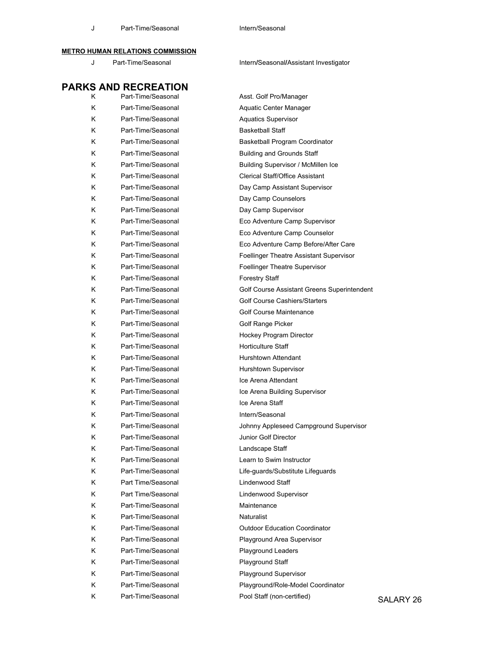#### METRO HUMAN RELATIONS COMMISSION

#### J Part-Time/Seasonal **Intern/Seasonal/Assistant Investigator**

|    | <b>PARKS AND RECREATION</b> |                                             |           |
|----|-----------------------------|---------------------------------------------|-----------|
| K. | Part-Time/Seasonal          | Asst. Golf Pro/Manager                      |           |
| ĸ  | Part-Time/Seasonal          | Aquatic Center Manager                      |           |
| Κ  | Part-Time/Seasonal          | <b>Aquatics Supervisor</b>                  |           |
| Κ  | Part-Time/Seasonal          | <b>Basketball Staff</b>                     |           |
| ĸ  | Part-Time/Seasonal          | Basketball Program Coordinator              |           |
| Κ  | Part-Time/Seasonal          | <b>Building and Grounds Staff</b>           |           |
| ĸ  | Part-Time/Seasonal          | Building Supervisor / McMillen Ice          |           |
| Κ  | Part-Time/Seasonal          | Clerical Staff/Office Assistant             |           |
| Κ  | Part-Time/Seasonal          | Day Camp Assistant Supervisor               |           |
| Κ  | Part-Time/Seasonal          | Day Camp Counselors                         |           |
| Κ  | Part-Time/Seasonal          | Day Camp Supervisor                         |           |
| ĸ  | Part-Time/Seasonal          | Eco Adventure Camp Supervisor               |           |
| Κ  | Part-Time/Seasonal          | Eco Adventure Camp Counselor                |           |
| Κ  | Part-Time/Seasonal          | Eco Adventure Camp Before/After Care        |           |
| Κ  | Part-Time/Seasonal          | Foellinger Theatre Assistant Supervisor     |           |
| Κ  | Part-Time/Seasonal          | <b>Foellinger Theatre Supervisor</b>        |           |
| ĸ  | Part-Time/Seasonal          | <b>Forestry Staff</b>                       |           |
| Κ  | Part-Time/Seasonal          | Golf Course Assistant Greens Superintendent |           |
| Κ  | Part-Time/Seasonal          | Golf Course Cashiers/Starters               |           |
| Κ  | Part-Time/Seasonal          | Golf Course Maintenance                     |           |
| Κ  | Part-Time/Seasonal          | Golf Range Picker                           |           |
| ĸ  | Part-Time/Seasonal          | Hockey Program Director                     |           |
| Κ  | Part-Time/Seasonal          | <b>Horticulture Staff</b>                   |           |
| Κ  | Part-Time/Seasonal          | Hurshtown Attendant                         |           |
| Κ  | Part-Time/Seasonal          | Hurshtown Supervisor                        |           |
| Κ  | Part-Time/Seasonal          | Ice Arena Attendant                         |           |
| ĸ  | Part-Time/Seasonal          | Ice Arena Building Supervisor               |           |
| Κ  | Part-Time/Seasonal          | Ice Arena Staff                             |           |
| ĸ  | Part-Time/Seasonal          | Intern/Seasonal                             |           |
| Κ  | Part-Time/Seasonal          | Johnny Appleseed Campground Supervisor      |           |
| Κ  | Part-Time/Seasonal          | Junior Golf Director                        |           |
| ĸ  | Part-Time/Seasonal          | Landscape Staff                             |           |
| ĸ  | Part-Time/Seasonal          | Learn to Swim Instructor                    |           |
| Κ  | Part-Time/Seasonal          | Life-guards/Substitute Lifeguards           |           |
| Κ  | Part Time/Seasonal          | Lindenwood Staff                            |           |
| Κ  | Part Time/Seasonal          | Lindenwood Supervisor                       |           |
| Κ  | Part-Time/Seasonal          | Maintenance                                 |           |
| Κ  | Part-Time/Seasonal          | Naturalist                                  |           |
| Κ  | Part-Time/Seasonal          | <b>Outdoor Education Coordinator</b>        |           |
| Κ  | Part-Time/Seasonal          | Playground Area Supervisor                  |           |
| Κ  | Part-Time/Seasonal          | Playground Leaders                          |           |
| Κ  | Part-Time/Seasonal          | Playground Staff                            |           |
| Κ  | Part-Time/Seasonal          | Playground Supervisor                       |           |
| Κ  | Part-Time/Seasonal          | Playground/Role-Model Coordinator           |           |
| K. | Part-Time/Seasonal          | Pool Staff (non-certified)                  | SALARY 26 |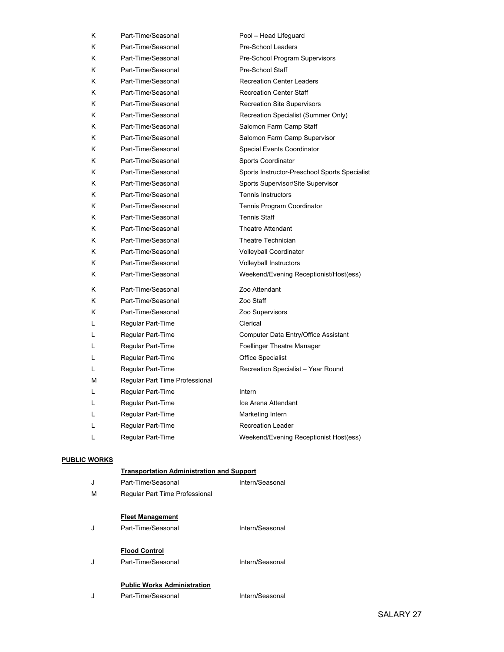| Κ | Part-Time/Seasonal             | Pool - Head Lifeguard                         |
|---|--------------------------------|-----------------------------------------------|
| K | Part-Time/Seasonal             | Pre-School Leaders                            |
| K | Part-Time/Seasonal             | Pre-School Program Supervisors                |
| K | Part-Time/Seasonal             | Pre-School Staff                              |
| K | Part-Time/Seasonal             | <b>Recreation Center Leaders</b>              |
| K | Part-Time/Seasonal             | <b>Recreation Center Staff</b>                |
| K | Part-Time/Seasonal             | <b>Recreation Site Supervisors</b>            |
| K | Part-Time/Seasonal             | Recreation Specialist (Summer Only)           |
| K | Part-Time/Seasonal             | Salomon Farm Camp Staff                       |
| K | Part-Time/Seasonal             | Salomon Farm Camp Supervisor                  |
| K | Part-Time/Seasonal             | Special Events Coordinator                    |
| K | Part-Time/Seasonal             | Sports Coordinator                            |
| K | Part-Time/Seasonal             | Sports Instructor-Preschool Sports Specialist |
| K | Part-Time/Seasonal             | Sports Supervisor/Site Supervisor             |
| K | Part-Time/Seasonal             | <b>Tennis Instructors</b>                     |
| K | Part-Time/Seasonal             | Tennis Program Coordinator                    |
| Κ | Part-Time/Seasonal             | Tennis Staff                                  |
| K | Part-Time/Seasonal             | <b>Theatre Attendant</b>                      |
| K | Part-Time/Seasonal             | Theatre Technician                            |
| K | Part-Time/Seasonal             | Volleyball Coordinator                        |
| Κ | Part-Time/Seasonal             | Volleyball Instructors                        |
| K | Part-Time/Seasonal             | Weekend/Evening Receptionist/Host(ess)        |
| K | Part-Time/Seasonal             | Zoo Attendant                                 |
| K | Part-Time/Seasonal             | Zoo Staff                                     |
| K | Part-Time/Seasonal             | Zoo Supervisors                               |
| L | Regular Part-Time              | Clerical                                      |
| Г | Regular Part-Time              | Computer Data Entry/Office Assistant          |
| L | Regular Part-Time              | Foellinger Theatre Manager                    |
| L | Regular Part-Time              | <b>Office Specialist</b>                      |
| L | Regular Part-Time              | Recreation Specialist - Year Round            |
| M | Regular Part Time Professional |                                               |
| Г | Regular Part-Time              | Intern                                        |
| Г | Regular Part-Time              | Ice Arena Attendant                           |
| L | Regular Part-Time              | Marketing Intern                              |
| L | Regular Part-Time              | <b>Recreation Leader</b>                      |
| L | Regular Part-Time              | Weekend/Evening Receptionist Host(ess)        |

#### PUBLIC WORKS

#### Transportation Administration and Support J Part-Time/Seasonal Intern/Seasonal

| М | Regular Part Time Professional                           |                 |
|---|----------------------------------------------------------|-----------------|
| J | <b>Fleet Management</b><br>Part-Time/Seasonal            | Intern/Seasonal |
| J | <b>Flood Control</b><br>Part-Time/Seasonal               | Intern/Seasonal |
|   | <b>Public Works Administration</b><br>Part-Time/Seasonal | Intern/Seasonal |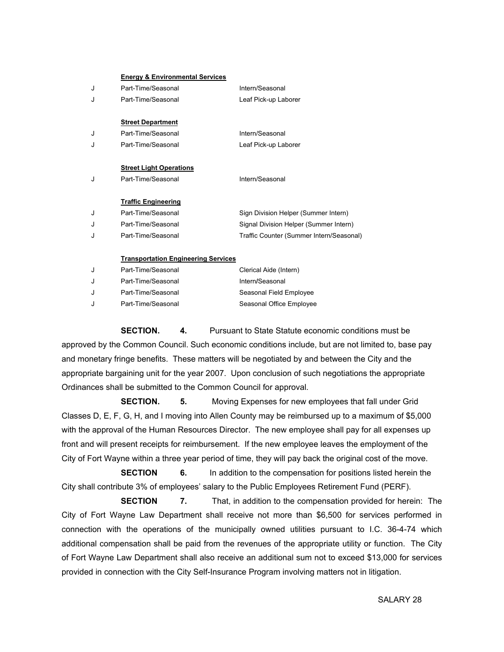|   | <b>Energy &amp; Environmental Services</b> |                                          |  |  |  |  |  |  |  |
|---|--------------------------------------------|------------------------------------------|--|--|--|--|--|--|--|
| J | Part-Time/Seasonal                         | Intern/Seasonal                          |  |  |  |  |  |  |  |
| J | Part-Time/Seasonal                         | Leaf Pick-up Laborer                     |  |  |  |  |  |  |  |
|   |                                            |                                          |  |  |  |  |  |  |  |
|   | <b>Street Department</b>                   |                                          |  |  |  |  |  |  |  |
| J | Part-Time/Seasonal                         | Intern/Seasonal                          |  |  |  |  |  |  |  |
| J | Part-Time/Seasonal                         | Leaf Pick-up Laborer                     |  |  |  |  |  |  |  |
|   |                                            |                                          |  |  |  |  |  |  |  |
|   | <b>Street Light Operations</b>             |                                          |  |  |  |  |  |  |  |
| J | Part-Time/Seasonal                         | Intern/Seasonal                          |  |  |  |  |  |  |  |
|   |                                            |                                          |  |  |  |  |  |  |  |
|   | <b>Traffic Engineering</b>                 |                                          |  |  |  |  |  |  |  |
| J | Part-Time/Seasonal                         | Sign Division Helper (Summer Intern)     |  |  |  |  |  |  |  |
| J | Part-Time/Seasonal                         | Signal Division Helper (Summer Intern)   |  |  |  |  |  |  |  |
| J | Part-Time/Seasonal                         | Traffic Counter (Summer Intern/Seasonal) |  |  |  |  |  |  |  |
|   |                                            |                                          |  |  |  |  |  |  |  |
|   | <b>Transportation Engineering Services</b> |                                          |  |  |  |  |  |  |  |
| J | Part-Time/Seasonal                         | Clerical Aide (Intern)                   |  |  |  |  |  |  |  |

### J Part-Time/Seasonal Intern/Seasonal J Part-Time/Seasonal Seasonal Field Employee J Part-Time/Seasonal Seasonal Seasonal Office Employee

 SECTION. 4. Pursuant to State Statute economic conditions must be approved by the Common Council. Such economic conditions include, but are not limited to, base pay and monetary fringe benefits. These matters will be negotiated by and between the City and the appropriate bargaining unit for the year 2007. Upon conclusion of such negotiations the appropriate Ordinances shall be submitted to the Common Council for approval.

**SECTION.** 5. Moving Expenses for new employees that fall under Grid Classes D, E, F, G, H, and I moving into Allen County may be reimbursed up to a maximum of \$5,000 with the approval of the Human Resources Director. The new employee shall pay for all expenses up front and will present receipts for reimbursement. If the new employee leaves the employment of the City of Fort Wayne within a three year period of time, they will pay back the original cost of the move.

 SECTION 6. In addition to the compensation for positions listed herein the City shall contribute 3% of employees' salary to the Public Employees Retirement Fund (PERF).

**SECTION** 7. That, in addition to the compensation provided for herein: The City of Fort Wayne Law Department shall receive not more than \$6,500 for services performed in connection with the operations of the municipally owned utilities pursuant to I.C. 36-4-74 which additional compensation shall be paid from the revenues of the appropriate utility or function. The City of Fort Wayne Law Department shall also receive an additional sum not to exceed \$13,000 for services provided in connection with the City Self-Insurance Program involving matters not in litigation.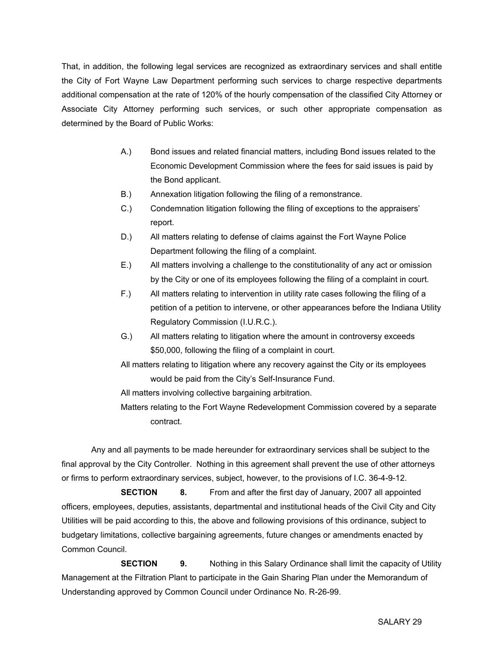That, in addition, the following legal services are recognized as extraordinary services and shall entitle the City of Fort Wayne Law Department performing such services to charge respective departments additional compensation at the rate of 120% of the hourly compensation of the classified City Attorney or Associate City Attorney performing such services, or such other appropriate compensation as determined by the Board of Public Works:

- A.) Bond issues and related financial matters, including Bond issues related to the Economic Development Commission where the fees for said issues is paid by the Bond applicant.
- B.) Annexation litigation following the filing of a remonstrance.
- C.) Condemnation litigation following the filing of exceptions to the appraisers' report.
- D.) All matters relating to defense of claims against the Fort Wayne Police Department following the filing of a complaint.
- E.) All matters involving a challenge to the constitutionality of any act or omission by the City or one of its employees following the filing of a complaint in court.
- F.) All matters relating to intervention in utility rate cases following the filing of a petition of a petition to intervene, or other appearances before the Indiana Utility Regulatory Commission (I.U.R.C.).
- G.) All matters relating to litigation where the amount in controversy exceeds \$50,000, following the filing of a complaint in court.
- All matters relating to litigation where any recovery against the City or its employees would be paid from the City's Self-Insurance Fund.
- All matters involving collective bargaining arbitration.
- Matters relating to the Fort Wayne Redevelopment Commission covered by a separate contract.

 Any and all payments to be made hereunder for extraordinary services shall be subject to the final approval by the City Controller. Nothing in this agreement shall prevent the use of other attorneys or firms to perform extraordinary services, subject, however, to the provisions of I.C. 36-4-9-12.

**SECTION** 8. From and after the first day of January, 2007 all appointed officers, employees, deputies, assistants, departmental and institutional heads of the Civil City and City Utilities will be paid according to this, the above and following provisions of this ordinance, subject to budgetary limitations, collective bargaining agreements, future changes or amendments enacted by Common Council.

**SECTION** 9. Nothing in this Salary Ordinance shall limit the capacity of Utility Management at the Filtration Plant to participate in the Gain Sharing Plan under the Memorandum of Understanding approved by Common Council under Ordinance No. R-26-99.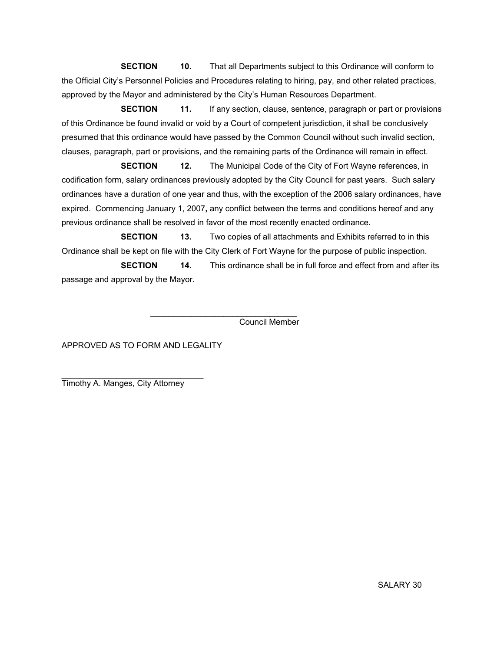**SECTION** 10. That all Departments subject to this Ordinance will conform to the Official City's Personnel Policies and Procedures relating to hiring, pay, and other related practices, approved by the Mayor and administered by the City's Human Resources Department.

**SECTION** 11. If any section, clause, sentence, paragraph or part or provisions of this Ordinance be found invalid or void by a Court of competent jurisdiction, it shall be conclusively presumed that this ordinance would have passed by the Common Council without such invalid section, clauses, paragraph, part or provisions, and the remaining parts of the Ordinance will remain in effect.

**SECTION** 12. The Municipal Code of the City of Fort Wayne references, in codification form, salary ordinances previously adopted by the City Council for past years. Such salary ordinances have a duration of one year and thus, with the exception of the 2006 salary ordinances, have expired. Commencing January 1, 2007, any conflict between the terms and conditions hereof and any previous ordinance shall be resolved in favor of the most recently enacted ordinance.

**SECTION** 13. Two copies of all attachments and Exhibits referred to in this Ordinance shall be kept on file with the City Clerk of Fort Wayne for the purpose of public inspection.

**SECTION** 14. This ordinance shall be in full force and effect from and after its passage and approval by the Mayor.

 $\frac{1}{2}$  , and the set of the set of the set of the set of the set of the set of the set of the set of the set of the set of the set of the set of the set of the set of the set of the set of the set of the set of the set Council Member

APPROVED AS TO FORM AND LEGALITY

Timothy A. Manges, City Attorney

\_\_\_\_\_\_\_\_\_\_\_\_\_\_\_\_\_\_\_\_\_\_\_\_\_\_\_\_\_\_\_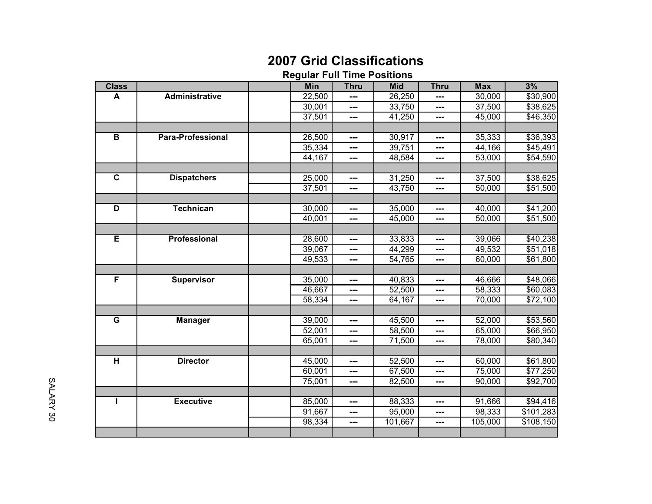# 2007 Grid Classifications

#### Regular Full Time Positions

| <b>Class</b>            |                          | <b>Min</b>          | <b>Thru</b> | <b>Mid</b>       | <b>Thru</b>   | <b>Max</b> | 3%                   |
|-------------------------|--------------------------|---------------------|-------------|------------------|---------------|------------|----------------------|
| A                       | <b>Administrative</b>    | 22,500              | ---         | 26,250           | ---           | 30,000     | \$30,900             |
|                         |                          | 30,001              | ---         | 33,750           | $---$         | 37,500     | \$38,625             |
|                         |                          | 37,501              | ---         | 41,250           | $---$         | 45,000     | \$46,350             |
|                         |                          |                     |             |                  |               |            |                      |
| B                       | <b>Para-Professional</b> | 26,500              | ---         | 30,917           | ---           | 35,333     | \$36,393             |
|                         |                          | 35,334              | ---         | 39,751           | ---           | 44, 166    | \$45,491             |
|                         |                          | 44,167              | ---         | 48,584           | ---           | 53,000     | \$54,590             |
|                         |                          |                     |             |                  |               |            |                      |
| $\overline{\mathbf{c}}$ | <b>Dispatchers</b>       | 25,000              | ---         | 31,250           | ---           | 37,500     | \$38,625             |
|                         |                          | 37,501              | ---         | 43,750           | $---$         | 50,000     | \$51,500             |
|                         |                          |                     |             |                  |               |            |                      |
| D                       | <b>Technican</b>         | 30,000              | ---         | 35,000           | ---           | 40,000     | \$41,200             |
|                         |                          | 40,001              | ---         | 45,000           | ---           | 50,000     | \$51,500             |
|                         |                          |                     |             |                  |               |            |                      |
| Έ                       | Professional             | 28,600              | ---         | 33,833           | $---$         | 39,066     | \$40,238             |
|                         |                          | 39,067              | ---         | 44,299           | $\sim$ $\sim$ | 49,532     | \$51,018             |
|                         |                          | 49,533              | ---         | 54,765           | ---           | 60,000     | $\overline{$}61,800$ |
|                         |                          |                     |             |                  |               |            |                      |
| F                       | <b>Supervisor</b>        | 35,000              | ---         | 40,833           | ---           | 46,666     | \$48,066             |
|                         |                          | 46,667              | ---         | 52,500           | ---           | 58,333     | \$60,083             |
|                         |                          | $\overline{58,}334$ | ---         | $\sqrt{64, 167}$ | ---           | 70,000     | \$72,100             |
|                         |                          |                     |             |                  |               |            |                      |
| G                       | <b>Manager</b>           | 39,000              | ---         | 45,500           | $---$         | 52,000     | \$53,560             |
|                         |                          | 52,001              | ---         | 58,500           | ---           | 65,000     | \$66,950             |
|                         |                          | 65,001              | ---         | 71,500           | ---           | 78,000     | \$80,340             |
|                         |                          |                     |             |                  |               |            |                      |
| $\overline{\mathbf{H}}$ | <b>Director</b>          | 45,000              | ---         | 52,500           | $---$         | 60,000     | \$61,800             |
|                         |                          | 60,001              | ---         | 67,500           | ---           | 75,000     | \$77,250             |
|                         |                          | 75,001              | ---         | 82,500           | ---           | 90,000     | \$92,700             |
|                         |                          |                     |             |                  |               |            |                      |
| Т                       | <b>Executive</b>         | 85,000              | ---         | 88,333           | ---           | 91,666     | \$94,416             |
|                         |                          | 91,667              | ---         | 95,000           | $---$         | 98,333     | \$101,283            |
|                         |                          | 98,334              | ---         | 101,667          | ---           | 105,000    | \$108,150            |
|                         |                          |                     |             |                  |               |            |                      |